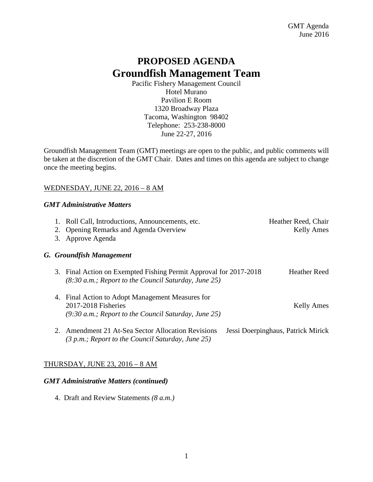# **PROPOSED AGENDA Groundfish Management Team**

Pacific Fishery Management Council Hotel Murano Pavilion E Room 1320 Broadway Plaza Tacoma, Washington 98402 Telephone: 253-238-8000 June 22-27, 2016

Groundfish Management Team (GMT) meetings are open to the public, and public comments will be taken at the discretion of the GMT Chair. Dates and times on this agenda are subject to change once the meeting begins.

# WEDNESDAY, JUNE 22, 2016 – 8 AM

## *GMT Administrative Matters*

|  | 1. Roll Call, Introductions, Announcements, etc.<br>2. Opening Remarks and Agenda Overview<br>3. Approve Agenda                   | Heather Reed, Chair<br><b>Kelly Ames</b> |
|--|-----------------------------------------------------------------------------------------------------------------------------------|------------------------------------------|
|  | G. Groundfish Management                                                                                                          |                                          |
|  | 3. Final Action on Exempted Fishing Permit Approval for 2017-2018<br>$(8:30 a.m.;$ Report to the Council Saturday, June 25)       | <b>Heather Reed</b>                      |
|  | 4. Final Action to Adopt Management Measures for<br>2017-2018 Fisheries<br>$(9:30 a.m.;$ Report to the Council Saturday, June 25) | <b>Kelly Ames</b>                        |
|  | 2. Amendment 21 At-Sea Sector Allocation Revisions<br>$(3 p.m.; Report to the Council Saturday, June 25)$                         | Jessi Doerpinghaus, Patrick Mirick       |

# THURSDAY, JUNE 23, 2016 – 8 AM

## *GMT Administrative Matters (continued)*

4. Draft and Review Statements *(8 a.m.)*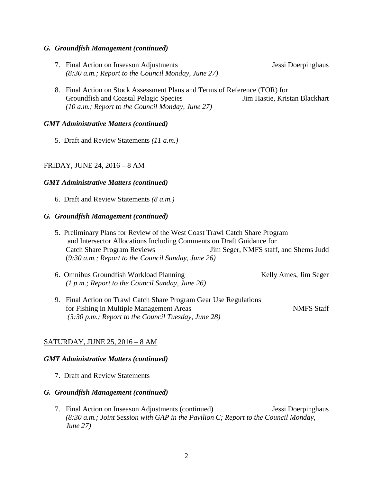#### *G. Groundfish Management (continued)*

7. Final Action on Inseason Adjustments Jessi Doerpinghaus *(8:30 a.m.; Report to the Council Monday, June 27)* 

8. Final Action on Stock Assessment Plans and Terms of Reference (TOR) for Groundfish and Coastal Pelagic Species Jim Hastie, Kristan Blackhart *(10 a.m.; Report to the Council Monday, June 27)*

#### *GMT Administrative Matters (continued)*

5. Draft and Review Statements *(11 a.m.)* 

#### FRIDAY, JUNE 24, 2016 – 8 AM

#### *GMT Administrative Matters (continued)*

6. Draft and Review Statements *(8 a.m.)* 

#### *G. Groundfish Management (continued)*

- 5. Preliminary Plans for Review of the West Coast Trawl Catch Share Program and Intersector Allocations Including Comments on Draft Guidance for Catch Share Program Reviews Jim Seger, NMFS staff, and Shems Judd (*9:30 a.m.; Report to the Council Sunday, June 26)*
- 6. Omnibus Groundfish Workload Planning Theorem School Kelly Ames, Jim Seger *(1 p.m.; Report to the Council Sunday, June 26)*
- 9. Final Action on Trawl Catch Share Program Gear Use Regulations for Fishing in Multiple Management Areas NMFS Staff *(3:30 p.m.; Report to the Council Tuesday, June 28)*

#### SATURDAY, JUNE 25, 2016 – 8 AM

#### *GMT Administrative Matters (continued)*

7. Draft and Review Statements

#### *G. Groundfish Management (continued)*

7. Final Action on Inseason Adjustments (continued) Jessi Doerpinghaus *(8:30 a.m.; Joint Session with GAP in the Pavilion C; Report to the Council Monday, June 27)*